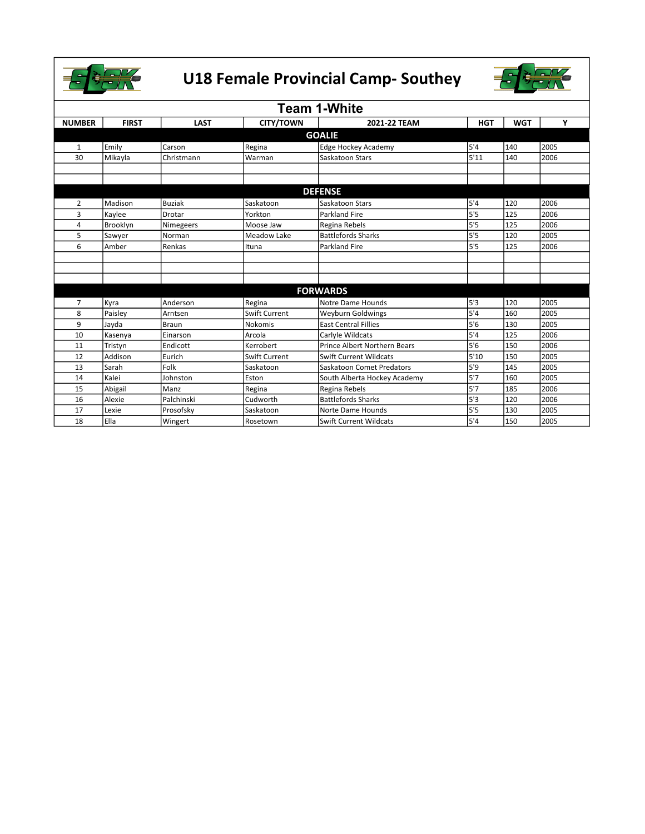



| <b>Team 1-White</b> |               |               |                      |                               |            |            |      |  |
|---------------------|---------------|---------------|----------------------|-------------------------------|------------|------------|------|--|
| <b>NUMBER</b>       | <b>FIRST</b>  | <b>LAST</b>   | <b>CITY/TOWN</b>     | 2021-22 TEAM                  | <b>HGT</b> | <b>WGT</b> | Υ    |  |
|                     | <b>GOALIE</b> |               |                      |                               |            |            |      |  |
| 1                   | Emily         | Carson        | Regina               | <b>Edge Hockey Academy</b>    | 5'4        | 140        | 2005 |  |
| 30                  | Mikayla       | Christmann    | Warman               | Saskatoon Stars               | 5'11       | 140        | 2006 |  |
|                     |               |               |                      |                               |            |            |      |  |
|                     |               |               |                      |                               |            |            |      |  |
|                     |               |               |                      | <b>DEFENSE</b>                |            |            |      |  |
| $\overline{2}$      | Madison       | <b>Buziak</b> | Saskatoon            | Saskatoon Stars               | 5'4        | 120        | 2006 |  |
| $\overline{3}$      | Kaylee        | Drotar        | Yorkton              | <b>Parkland Fire</b>          | 5'5        | 125        | 2006 |  |
| 4                   | Brooklyn      | Nimegeers     | Moose Jaw            | Regina Rebels                 | 5'5        | 125        | 2006 |  |
| 5                   | Sawyer        | Norman        | Meadow Lake          | <b>Battlefords Sharks</b>     | 5'5        | 120        | 2005 |  |
| 6                   | Amber         | Renkas        | Ituna                | <b>Parkland Fire</b>          | 5'5        | 125        | 2006 |  |
|                     |               |               |                      |                               |            |            |      |  |
|                     |               |               |                      |                               |            |            |      |  |
|                     |               |               |                      |                               |            |            |      |  |
|                     |               |               |                      | <b>FORWARDS</b>               |            |            |      |  |
| $\overline{7}$      | Kyra          | Anderson      | Regina               | Notre Dame Hounds             | 5'3        | 120        | 2005 |  |
| 8                   | Paisley       | Arntsen       | <b>Swift Current</b> | <b>Weyburn Goldwings</b>      | 5'4        | 160        | 2005 |  |
| 9                   | Jayda         | <b>Braun</b>  | Nokomis              | <b>East Central Fillies</b>   | 5'6        | 130        | 2005 |  |
| 10                  | Kasenya       | Einarson      | Arcola               | Carlyle Wildcats              | 5'4        | 125        | 2006 |  |
| 11                  | Tristyn       | Endicott      | Kerrobert            | Prince Albert Northern Bears  | 5'6        | 150        | 2006 |  |
| 12                  | Addison       | Eurich        | Swift Current        | Swift Current Wildcats        | 5'10       | 150        | 2005 |  |
| 13                  | Sarah         | Folk          | Saskatoon            | Saskatoon Comet Predators     | 5'9        | 145        | 2005 |  |
| 14                  | Kalei         | Johnston      | Eston                | South Alberta Hockey Academy  | 5'7        | 160        | 2005 |  |
| 15                  | Abigail       | Manz          | Regina               | Regina Rebels                 | 5'7        | 185        | 2006 |  |
| 16                  | Alexie        | Palchinski    | Cudworth             | <b>Battlefords Sharks</b>     | 5'3        | 120        | 2006 |  |
| 17                  | Lexie         | Prosofsky     | Saskatoon            | Norte Dame Hounds             | 5'5        | 130        | 2005 |  |
| 18                  | Ella          | Wingert       | Rosetown             | <b>Swift Current Wildcats</b> | 5'4        | 150        | 2005 |  |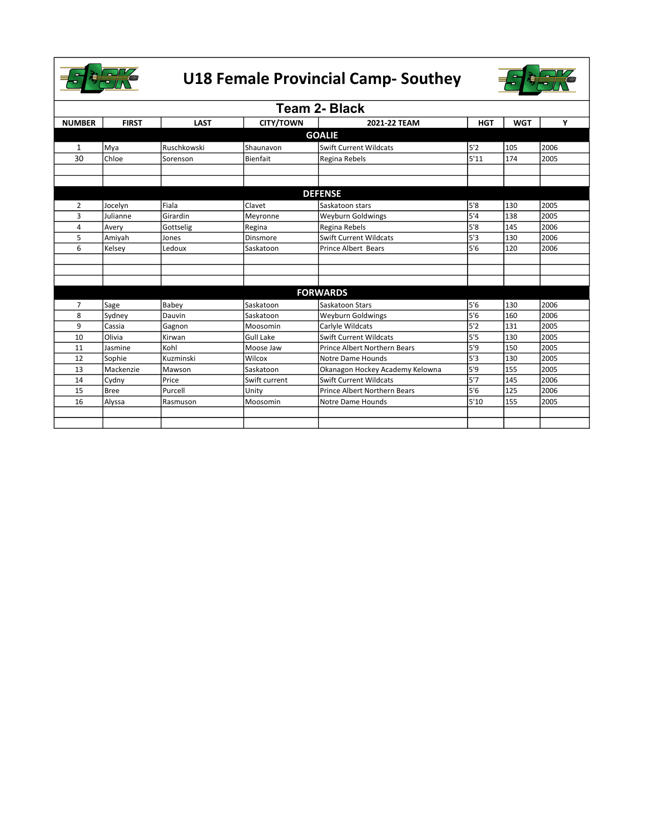



| <b>Team 2- Black</b> |               |             |                  |                                 |            |            |      |  |  |
|----------------------|---------------|-------------|------------------|---------------------------------|------------|------------|------|--|--|
| <b>NUMBER</b>        | <b>FIRST</b>  | <b>LAST</b> | <b>CITY/TOWN</b> | 2021-22 TEAM                    | <b>HGT</b> | <b>WGT</b> | Υ    |  |  |
|                      | <b>GOALIE</b> |             |                  |                                 |            |            |      |  |  |
| $\mathbf{1}$         | Mya           | Ruschkowski | Shaunavon        | <b>Swift Current Wildcats</b>   | 5'2        | 105        | 2006 |  |  |
| 30                   | Chloe         | Sorenson    | <b>Bienfait</b>  | Regina Rebels                   | 5'11       | 174        | 2005 |  |  |
|                      |               |             |                  |                                 |            |            |      |  |  |
|                      |               |             |                  |                                 |            |            |      |  |  |
|                      |               |             |                  | <b>DEFENSE</b>                  |            |            |      |  |  |
| 2                    | Jocelyn       | Fiala       | Clavet           | Saskatoon stars                 | 5'8        | 130        | 2005 |  |  |
| 3                    | Julianne      | Girardin    | Meyronne         | Weyburn Goldwings               | 5'4        | 138        | 2005 |  |  |
| 4                    | Avery         | Gottselig   | Regina           | Regina Rebels                   | 5'8        | 145        | 2006 |  |  |
| 5                    | Amiyah        | Jones       | Dinsmore         | <b>Swift Current Wildcats</b>   | 5'3        | 130        | 2006 |  |  |
| 6                    | Kelsey        | Ledoux      | Saskatoon        | Prince Albert Bears             | 5'6        | 120        | 2006 |  |  |
|                      |               |             |                  |                                 |            |            |      |  |  |
|                      |               |             |                  |                                 |            |            |      |  |  |
|                      |               |             |                  |                                 |            |            |      |  |  |
|                      |               |             |                  | <b>FORWARDS</b>                 |            |            |      |  |  |
| $\overline{7}$       | Sage          | Babey       | Saskatoon        | Saskatoon Stars                 | 5'6        | 130        | 2006 |  |  |
| 8                    | Sydney        | Dauvin      | Saskatoon        | Weyburn Goldwings               | 5'6        | 160        | 2006 |  |  |
| 9                    | Cassia        | Gagnon      | Moosomin         | Carlyle Wildcats                | 5'2        | 131        | 2005 |  |  |
| 10                   | Olivia        | Kirwan      | <b>Gull Lake</b> | Swift Current Wildcats          | 5'5        | 130        | 2005 |  |  |
| 11                   | Jasmine       | Kohl        | Moose Jaw        | Prince Albert Northern Bears    | 5'9        | 150        | 2005 |  |  |
| 12                   | Sophie        | Kuzminski   | Wilcox           | Notre Dame Hounds               | 5'3        | 130        | 2005 |  |  |
| 13                   | Mackenzie     | Mawson      | Saskatoon        | Okanagon Hockey Academy Kelowna | 5'9        | 155        | 2005 |  |  |
| 14                   | Cydny         | Price       | Swift current    | <b>Swift Current Wildcats</b>   | 5'7        | 145        | 2006 |  |  |
| 15                   | <b>Bree</b>   | Purcell     | Unity            | Prince Albert Northern Bears    | 5'6        | 125        | 2006 |  |  |
| 16                   | Alyssa        | Rasmuson    | Moosomin         | Notre Dame Hounds               | 5'10       | 155        | 2005 |  |  |
|                      |               |             |                  |                                 |            |            |      |  |  |
|                      |               |             |                  |                                 |            |            |      |  |  |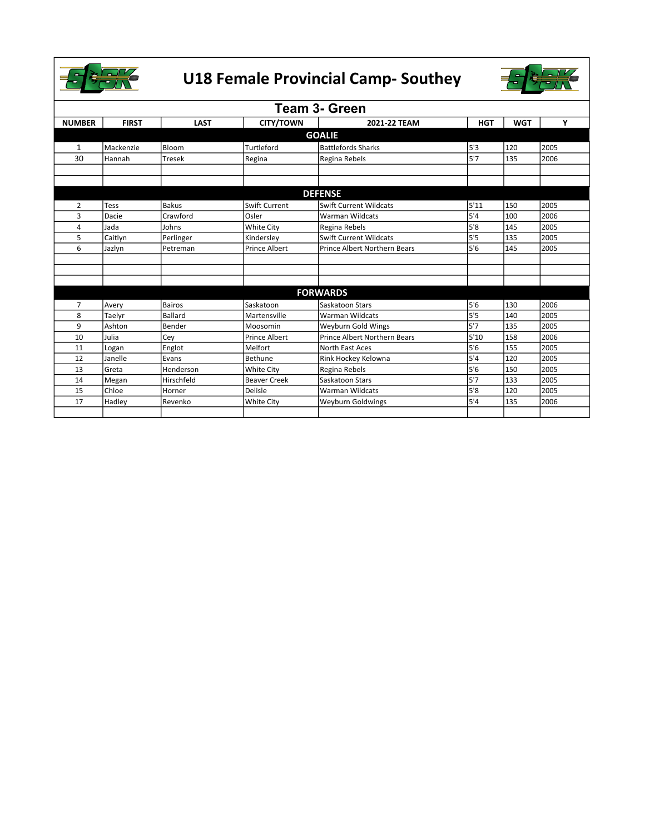



| <b>Team 3- Green</b> |              |                |                      |                                     |            |            |      |  |
|----------------------|--------------|----------------|----------------------|-------------------------------------|------------|------------|------|--|
| <b>NUMBER</b>        | <b>FIRST</b> | <b>LAST</b>    | <b>CITY/TOWN</b>     | 2021-22 TEAM                        | <b>HGT</b> | <b>WGT</b> | Υ    |  |
| <b>GOALIE</b>        |              |                |                      |                                     |            |            |      |  |
| 1                    | Mackenzie    | Bloom          | Turtleford           | Battlefords Sharks                  | 5'3        | 120        | 2005 |  |
| 30                   | Hannah       | <b>Tresek</b>  | Regina               | Regina Rebels                       | 5'7        | 135        | 2006 |  |
|                      |              |                |                      |                                     |            |            |      |  |
|                      |              |                |                      |                                     |            |            |      |  |
|                      |              |                |                      | <b>DEFENSE</b>                      |            |            |      |  |
| $\overline{2}$       | <b>Tess</b>  | <b>Bakus</b>   | Swift Current        | <b>Swift Current Wildcats</b>       | 5'11       | 150        | 2005 |  |
| 3                    | Dacie        | Crawford       | Osler                | <b>Warman Wildcats</b>              | 5'4        | 100        | 2006 |  |
| 4                    | Jada         | Johns          | <b>White City</b>    | Regina Rebels                       | 5'8        | 145        | 2005 |  |
| 5                    | Caitlyn      | Perlinger      | Kindersley           | Swift Current Wildcats              | 5'5        | 135        | 2005 |  |
| 6                    | Jazlyn       | Petreman       | <b>Prince Albert</b> | <b>Prince Albert Northern Bears</b> | 5'6        | 145        | 2005 |  |
|                      |              |                |                      |                                     |            |            |      |  |
|                      |              |                |                      |                                     |            |            |      |  |
|                      |              |                |                      |                                     |            |            |      |  |
|                      |              |                |                      | <b>FORWARDS</b>                     |            |            |      |  |
| $\overline{7}$       | Avery        | Bairos         | Saskatoon            | Saskatoon Stars                     | 5'6        | 130        | 2006 |  |
| 8                    | Taelyr       | <b>Ballard</b> | Martensville         | <b>Warman Wildcats</b>              | 5'5        | 140        | 2005 |  |
| 9                    | Ashton       | Bender         | Moosomin             | Weyburn Gold Wings                  | 5'7        | 135        | 2005 |  |
| 10                   | Julia        | Cey            | <b>Prince Albert</b> | <b>Prince Albert Northern Bears</b> | 5'10       | 158        | 2006 |  |
| 11                   | Logan        | Englot         | Melfort              | North East Aces                     | 5'6        | 155        | 2005 |  |
| 12                   | Janelle      | Evans          | Bethune              | Rink Hockey Kelowna                 | 5'4        | 120        | 2005 |  |
| 13                   | Greta        | Henderson      | <b>White City</b>    | Regina Rebels                       | 5'6        | 150        | 2005 |  |
| 14                   | Megan        | Hirschfeld     | <b>Beaver Creek</b>  | Saskatoon Stars                     | 5'7        | 133        | 2005 |  |
| 15                   | Chloe        | Horner         | Delisle              | <b>Warman Wildcats</b>              | 5'8        | 120        | 2005 |  |
| 17                   | Hadley       | Revenko        | White City           | <b>Weyburn Goldwings</b>            | 5'4        | 135        | 2006 |  |
|                      |              |                |                      |                                     |            |            |      |  |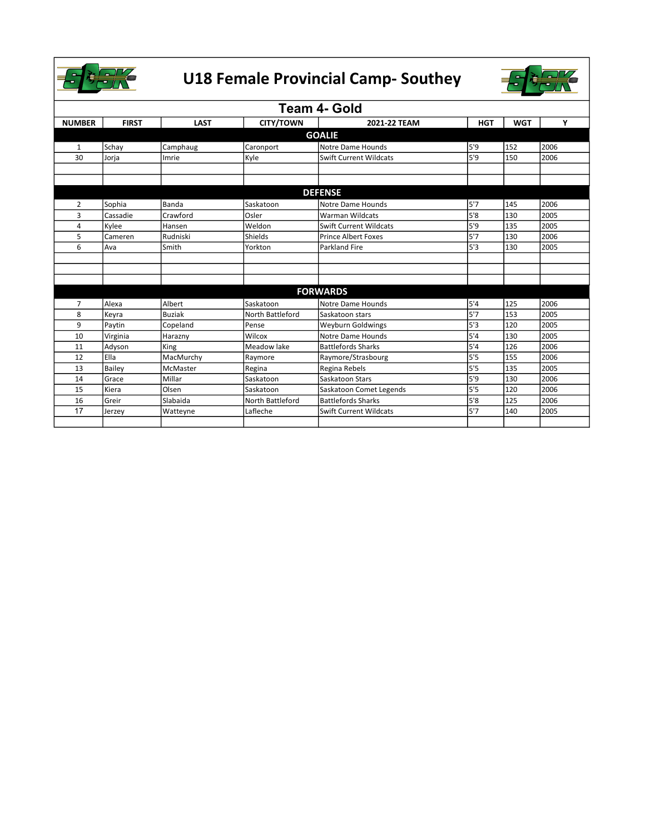



| Team 4- Gold   |               |               |                  |                               |            |            |      |  |
|----------------|---------------|---------------|------------------|-------------------------------|------------|------------|------|--|
| <b>NUMBER</b>  | <b>FIRST</b>  | <b>LAST</b>   | <b>CITY/TOWN</b> | 2021-22 TEAM                  | <b>HGT</b> | <b>WGT</b> | Υ    |  |
| <b>GOALIE</b>  |               |               |                  |                               |            |            |      |  |
| $\mathbf{1}$   | Schay         | Camphaug      | Caronport        | Notre Dame Hounds             | 5'9        | 152        | 2006 |  |
| 30             | Jorja         | Imrie         | Kyle             | Swift Current Wildcats        | 5'9        | 150        | 2006 |  |
|                |               |               |                  |                               |            |            |      |  |
|                |               |               |                  |                               |            |            |      |  |
|                |               |               |                  | <b>DEFENSE</b>                |            |            |      |  |
| $\overline{2}$ | Sophia        | Banda         | Saskatoon        | Notre Dame Hounds             | 5'7        | 145        | 2006 |  |
| 3              | Cassadie      | Crawford      | Osler            | <b>Warman Wildcats</b>        | 5'8        | 130        | 2005 |  |
| 4              | Kylee         | Hansen        | Weldon           | Swift Current Wildcats        | 5'9        | 135        | 2005 |  |
| 5              | Cameren       | Rudniski      | Shields          | Prince Albert Foxes           | 5'7        | 130        | 2006 |  |
| 6              | Ava           | Smith         | Yorkton          | <b>Parkland Fire</b>          | 5'3        | 130        | 2005 |  |
|                |               |               |                  |                               |            |            |      |  |
|                |               |               |                  |                               |            |            |      |  |
|                |               |               |                  |                               |            |            |      |  |
|                |               |               |                  | <b>FORWARDS</b>               |            |            |      |  |
| $\overline{7}$ | Alexa         | Albert        | Saskatoon        | Notre Dame Hounds             | 5'4        | 125        | 2006 |  |
| 8              | Keyra         | <b>Buziak</b> | North Battleford | Saskatoon stars               | 5'7        | 153        | 2005 |  |
| 9              | Paytin        | Copeland      | Pense            | <b>Weyburn Goldwings</b>      | 5'3        | 120        | 2005 |  |
| 10             | Virginia      | Harazny       | Wilcox           | Notre Dame Hounds             | 5'4        | 130        | 2005 |  |
| 11             | Adyson        | King          | Meadow lake      | Battlefords Sharks            | 5'4        | 126        | 2006 |  |
| 12             | Ella          | MacMurchy     | Raymore          | Raymore/Strasbourg            | 5'5        | 155        | 2006 |  |
| 13             | <b>Bailev</b> | McMaster      | Regina           | Regina Rebels                 | 5'5        | 135        | 2005 |  |
| 14             | Grace         | Millar        | Saskatoon        | Saskatoon Stars               | 5'9        | 130        | 2006 |  |
| 15             | Kiera         | Olsen         | Saskatoon        | Saskatoon Comet Legends       | 5'5        | 120        | 2006 |  |
| 16             | Greir         | Slabaida      | North Battleford | <b>Battlefords Sharks</b>     | 5'8        | 125        | 2006 |  |
| 17             | Jerzey        | Watteyne      | Lafleche         | <b>Swift Current Wildcats</b> | 5'7        | 140        | 2005 |  |
|                |               |               |                  |                               |            |            |      |  |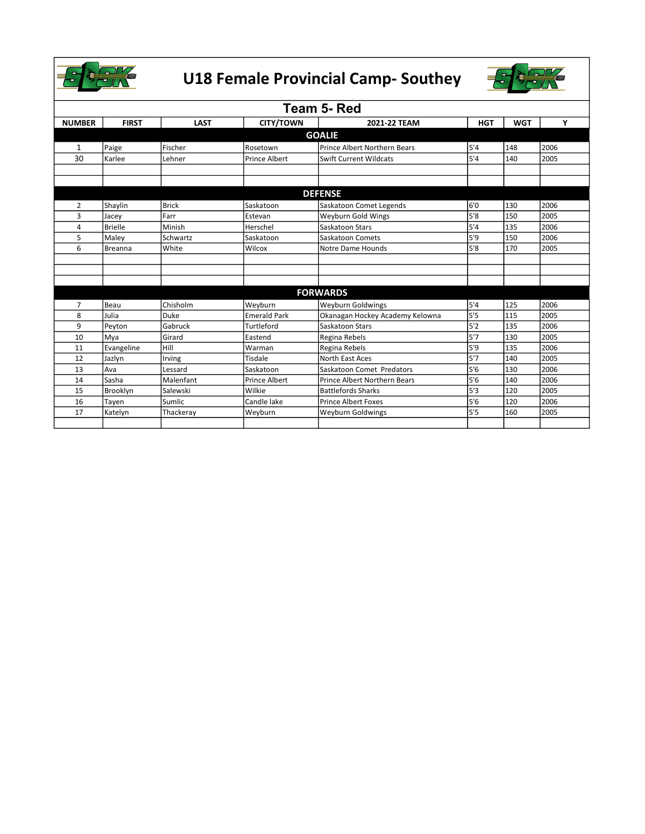



| Team 5- Red    |                |              |                      |                                     |            |            |      |  |
|----------------|----------------|--------------|----------------------|-------------------------------------|------------|------------|------|--|
| <b>NUMBER</b>  | <b>FIRST</b>   | <b>LAST</b>  | <b>CITY/TOWN</b>     | 2021-22 TEAM                        | <b>HGT</b> | <b>WGT</b> | Y    |  |
| <b>GOALIE</b>  |                |              |                      |                                     |            |            |      |  |
| 1              | Paige          | Fischer      | Rosetown             | <b>Prince Albert Northern Bears</b> | 5'4        | 148        | 2006 |  |
| 30             | Karlee         | Lehner       | <b>Prince Albert</b> | <b>Swift Current Wildcats</b>       | 5'4        | 140        | 2005 |  |
|                |                |              |                      |                                     |            |            |      |  |
|                |                |              |                      |                                     |            |            |      |  |
|                |                |              |                      | <b>DEFENSE</b>                      |            |            |      |  |
| 2              | Shaylin        | <b>Brick</b> | Saskatoon            | Saskatoon Comet Legends             | 6'0        | 130        | 2006 |  |
| 3              | Jacey          | Farr         | Estevan              | Weyburn Gold Wings                  | 5'8        | 150        | 2005 |  |
| 4              | <b>Brielle</b> | Minish       | Herschel             | Saskatoon Stars                     | 5'4        | 135        | 2006 |  |
| 5              | Maley          | Schwartz     | Saskatoon            | Saskatoon Comets                    | 5'9        | 150        | 2006 |  |
| 6              | Breanna        | White        | Wilcox               | Notre Dame Hounds                   | 5'8        | 170        | 2005 |  |
|                |                |              |                      |                                     |            |            |      |  |
|                |                |              |                      |                                     |            |            |      |  |
|                |                |              |                      |                                     |            |            |      |  |
|                |                |              |                      | <b>FORWARDS</b>                     |            |            |      |  |
| $\overline{7}$ | Beau           | Chisholm     | Weyburn              | <b>Weyburn Goldwings</b>            | 5'4        | 125        | 2006 |  |
| 8              | Julia          | Duke         | <b>Emerald Park</b>  | Okanagan Hockey Academy Kelowna     | 5'5        | 115        | 2005 |  |
| 9              | Peyton         | Gabruck      | Turtleford           | Saskatoon Stars                     | 5'2        | 135        | 2006 |  |
| 10             | Mya            | Girard       | Eastend              | Regina Rebels                       | 5'7        | 130        | 2005 |  |
| 11             | Evangeline     | Hill         | Warman               | Regina Rebels                       | 5'9        | 135        | 2006 |  |
| 12             | Jazlyn         | Irving       | Tisdale              | North East Aces                     | 5'7        | 140        | 2005 |  |
| 13             | Ava            | Lessard      | Saskatoon            | Saskatoon Comet Predators           | 5'6        | 130        | 2006 |  |
| 14             | Sasha          | Malenfant    | Prince Albert        | Prince Albert Northern Bears        | 5'6        | 140        | 2006 |  |
| 15             | Brooklyn       | Salewski     | Wilkie               | <b>Battlefords Sharks</b>           | 5'3        | 120        | 2005 |  |
| 16             | Tayen          | Sumlic       | Candle lake          | <b>Prince Albert Foxes</b>          | 5'6        | 120        | 2006 |  |
| 17             | Katelyn        | Thackeray    | Weyburn              | <b>Weyburn Goldwings</b>            | 5'5        | 160        | 2005 |  |
|                |                |              |                      |                                     |            |            |      |  |